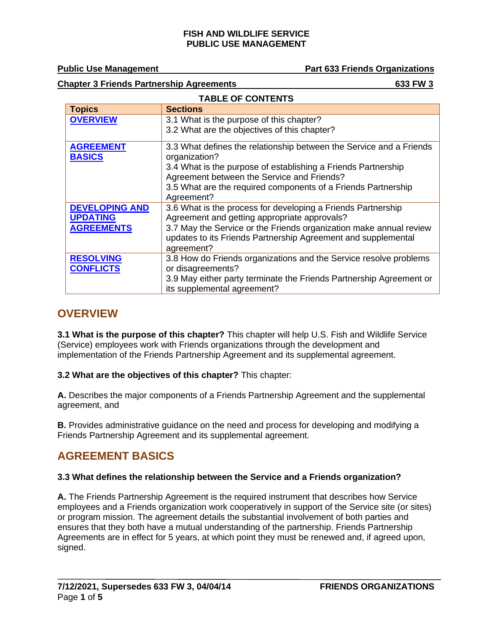**TABLE OF CONTENTS**

**Public Use Management Part 633 Friends Organizations**

**Chapter 3 Friends Partnership Agreements 633 FW 3**

| TABLE OF GONTENTS                    |                                                                                                                                                   |  |
|--------------------------------------|---------------------------------------------------------------------------------------------------------------------------------------------------|--|
| <b>Topics</b>                        | <b>Sections</b>                                                                                                                                   |  |
| <b>OVERVIEW</b>                      | 3.1 What is the purpose of this chapter?                                                                                                          |  |
|                                      | 3.2 What are the objectives of this chapter?                                                                                                      |  |
| <b>AGREEMENT</b><br><b>BASICS</b>    | 3.3 What defines the relationship between the Service and a Friends<br>organization?                                                              |  |
|                                      | 3.4 What is the purpose of establishing a Friends Partnership<br>Agreement between the Service and Friends?                                       |  |
|                                      | 3.5 What are the required components of a Friends Partnership<br>Agreement?                                                                       |  |
| <b>DEVELOPING AND</b>                | 3.6 What is the process for developing a Friends Partnership                                                                                      |  |
| <b>UPDATING</b>                      | Agreement and getting appropriate approvals?                                                                                                      |  |
| <b>AGREEMENTS</b>                    | 3.7 May the Service or the Friends organization make annual review<br>updates to its Friends Partnership Agreement and supplemental<br>agreement? |  |
| <b>RESOLVING</b><br><b>CONFLICTS</b> | 3.8 How do Friends organizations and the Service resolve problems<br>or disagreements?                                                            |  |
|                                      | 3.9 May either party terminate the Friends Partnership Agreement or<br>its supplemental agreement?                                                |  |

## <span id="page-0-0"></span>**OVERVIEW**

**3.1 What is the purpose of this chapter?** This chapter will help U.S. Fish and Wildlife Service (Service) employees work with Friends organizations through the development and implementation of the Friends Partnership Agreement and its supplemental agreement.

**3.2 What are the objectives of this chapter?** This chapter:

**A.** Describes the major components of a Friends Partnership Agreement and the supplemental agreement, and

**B.** Provides administrative guidance on the need and process for developing and modifying a Friends Partnership Agreement and its supplemental agreement.

# <span id="page-0-1"></span>**AGREEMENT BASICS**

## **3.3 What defines the relationship between the Service and a Friends organization?**

**A.** The Friends Partnership Agreement is the required instrument that describes how Service employees and a Friends organization work cooperatively in support of the Service site (or sites) or program mission. The agreement details the substantial involvement of both parties and ensures that they both have a mutual understanding of the partnership. Friends Partnership Agreements are in effect for 5 years, at which point they must be renewed and, if agreed upon, signed.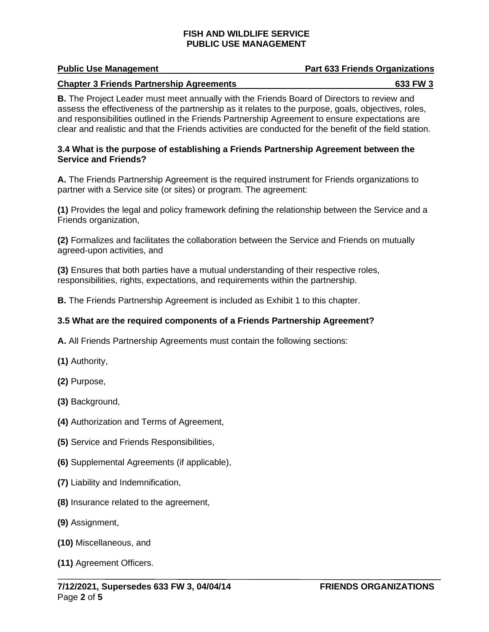### **Public Use Management Part 633 Friends Organizations**

### **Chapter 3 Friends Partnership Agreements** 633 FW 3

**B.** The Project Leader must meet annually with the Friends Board of Directors to review and assess the effectiveness of the partnership as it relates to the purpose, goals, objectives, roles, and responsibilities outlined in the Friends Partnership Agreement to ensure expectations are clear and realistic and that the Friends activities are conducted for the benefit of the field station.

## **3.4 What is the purpose of establishing a Friends Partnership Agreement between the Service and Friends?**

**A.** The Friends Partnership Agreement is the required instrument for Friends organizations to partner with a Service site (or sites) or program. The agreement:

**(1)** Provides the legal and policy framework defining the relationship between the Service and a Friends organization,

**(2)** Formalizes and facilitates the collaboration between the Service and Friends on mutually agreed-upon activities, and

**(3)** Ensures that both parties have a mutual understanding of their respective roles, responsibilities, rights, expectations, and requirements within the partnership.

**B.** The Friends Partnership Agreement is included as Exhibit 1 to this chapter.

## **3.5 What are the required components of a Friends Partnership Agreement?**

**A.** All Friends Partnership Agreements must contain the following sections:

- **(1)** Authority,
- **(2)** Purpose,
- **(3)** Background,
- **(4)** Authorization and Terms of Agreement,
- **(5)** Service and Friends Responsibilities,
- **(6)** Supplemental Agreements (if applicable),
- **(7)** Liability and Indemnification,
- **(8)** Insurance related to the agreement,
- **(9)** Assignment,
- **(10)** Miscellaneous, and
- **(11)** Agreement Officers.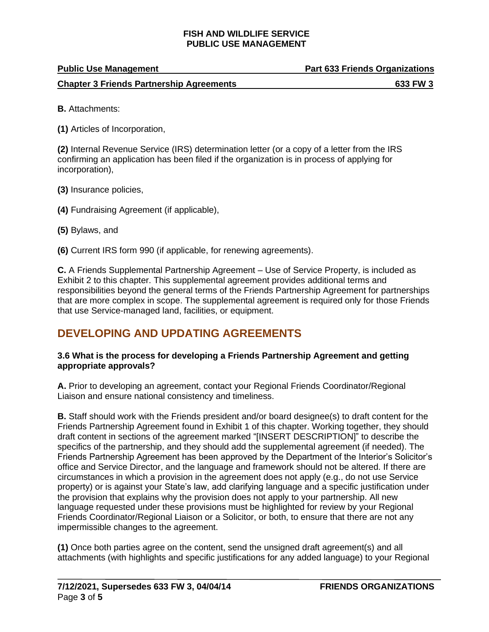| <b>Public Use Management</b>                    | <b>Part 633 Friends Organizations</b> |
|-------------------------------------------------|---------------------------------------|
| <b>Chapter 3 Friends Partnership Agreements</b> | 633 FW 3                              |

**B.** Attachments:

**(1)** Articles of Incorporation,

**(2)** Internal Revenue Service (IRS) determination letter (or a copy of a letter from the IRS confirming an application has been filed if the organization is in process of applying for incorporation),

- **(3)** Insurance policies,
- **(4)** Fundraising Agreement (if applicable),
- **(5)** Bylaws, and

**(6)** Current IRS form 990 (if applicable, for renewing agreements).

**C.** A Friends Supplemental Partnership Agreement – Use of Service Property, is included as Exhibit 2 to this chapter. This supplemental agreement provides additional terms and responsibilities beyond the general terms of the Friends Partnership Agreement for partnerships that are more complex in scope. The supplemental agreement is required only for those Friends that use Service-managed land, facilities, or equipment.

## <span id="page-2-0"></span>**DEVELOPING AND UPDATING AGREEMENTS**

## **3.6 What is the process for developing a Friends Partnership Agreement and getting appropriate approvals?**

**A.** Prior to developing an agreement, contact your Regional Friends Coordinator/Regional Liaison and ensure national consistency and timeliness.

**B.** Staff should work with the Friends president and/or board designee(s) to draft content for the Friends Partnership Agreement found in Exhibit 1 of this chapter. Working together, they should draft content in sections of the agreement marked "[INSERT DESCRIPTION]" to describe the specifics of the partnership, and they should add the supplemental agreement (if needed). The Friends Partnership Agreement has been approved by the Department of the Interior's Solicitor's office and Service Director, and the language and framework should not be altered. If there are circumstances in which a provision in the agreement does not apply (e.g., do not use Service property) or is against your State's law, add clarifying language and a specific justification under the provision that explains why the provision does not apply to your partnership. All new language requested under these provisions must be highlighted for review by your Regional Friends Coordinator/Regional Liaison or a Solicitor, or both, to ensure that there are not any impermissible changes to the agreement.

**(1)** Once both parties agree on the content, send the unsigned draft agreement(s) and all attachments (with highlights and specific justifications for any added language) to your Regional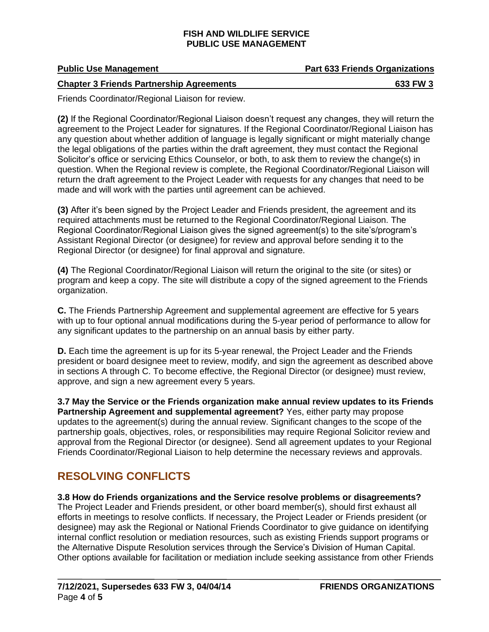**Public Use Management Part 633 Friends Organizations**

### **Chapter 3 Friends Partnership Agreements 633 FW 3**

Friends Coordinator/Regional Liaison for review.

**(2)** If the Regional Coordinator/Regional Liaison doesn't request any changes, they will return the agreement to the Project Leader for signatures. If the Regional Coordinator/Regional Liaison has any question about whether addition of language is legally significant or might materially change the legal obligations of the parties within the draft agreement, they must contact the Regional Solicitor's office or servicing Ethics Counselor, or both, to ask them to review the change(s) in question. When the Regional review is complete, the Regional Coordinator/Regional Liaison will return the draft agreement to the Project Leader with requests for any changes that need to be made and will work with the parties until agreement can be achieved.

**(3)** After it's been signed by the Project Leader and Friends president, the agreement and its required attachments must be returned to the Regional Coordinator/Regional Liaison. The Regional Coordinator/Regional Liaison gives the signed agreement(s) to the site's/program's Assistant Regional Director (or designee) for review and approval before sending it to the Regional Director (or designee) for final approval and signature.

**(4)** The Regional Coordinator/Regional Liaison will return the original to the site (or sites) or program and keep a copy. The site will distribute a copy of the signed agreement to the Friends organization.

**C.** The Friends Partnership Agreement and supplemental agreement are effective for 5 years with up to four optional annual modifications during the 5-year period of performance to allow for any significant updates to the partnership on an annual basis by either party.

**D.** Each time the agreement is up for its 5-year renewal, the Project Leader and the Friends president or board designee meet to review, modify, and sign the agreement as described above in sections A through C. To become effective, the Regional Director (or designee) must review, approve, and sign a new agreement every 5 years.

**3.7 May the Service or the Friends organization make annual review updates to its Friends Partnership Agreement and supplemental agreement?** Yes, either party may propose updates to the agreement(s) during the annual review. Significant changes to the scope of the partnership goals, objectives, roles, or responsibilities may require Regional Solicitor review and approval from the Regional Director (or designee). Send all agreement updates to your Regional Friends Coordinator/Regional Liaison to help determine the necessary reviews and approvals.

## <span id="page-3-0"></span>**RESOLVING CONFLICTS**

**3.8 How do Friends organizations and the Service resolve problems or disagreements?**  The Project Leader and Friends president, or other board member(s), should first exhaust all efforts in meetings to resolve conflicts. If necessary, the Project Leader or Friends president (or designee) may ask the Regional or National Friends Coordinator to give guidance on identifying internal conflict resolution or mediation resources, such as existing Friends support programs or the Alternative Dispute Resolution services through the Service's Division of Human Capital. Other options available for facilitation or mediation include seeking assistance from other Friends